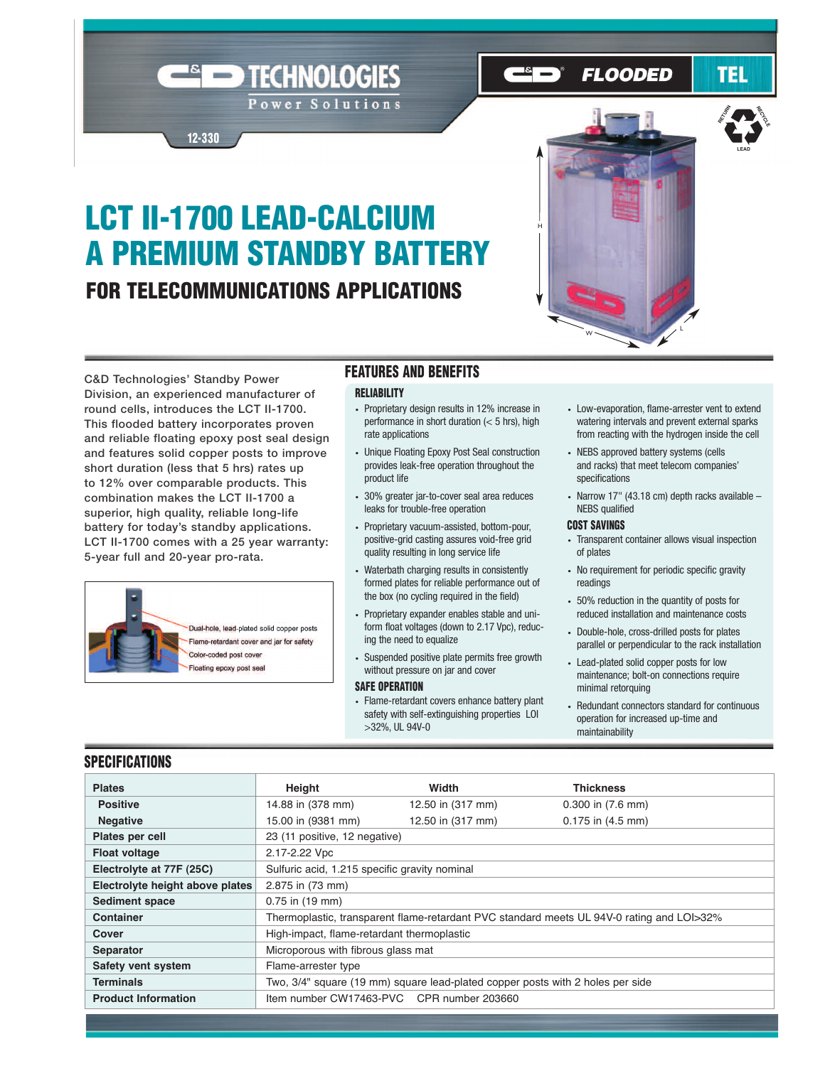# **LCT II-1700 LEAD-CALCIUM A PREMIUM STANDBY BATTERY FOR TELECOMMUNICATIONS APPLICATIONS**

TECHNOLOGIES

Power Solutions



**FLOODED** 

**C&D Technologies' Standby Power Division, an experienced manufacturer of round cells, introduces the LCT II-1700. This flooded battery incorporates proven and reliable floating epoxy post seal design and features solid copper posts to improve short duration (less that 5 hrs) rates up to 12% over comparable products. This combination makes the LCT II-1700 a superior, high quality, reliable long-life battery for today's standby applications. LCT II-1700 comes with a 25 year warranty: 5-year full and 20-year pro-rata.**

**12-330**



### **FEATURES AND BENEFITS**

#### **RELIABILITY**

- Proprietary design results in 12% increase in performance in short duration (< 5 hrs), high rate applications
- Unique Floating Epoxy Post Seal construction provides leak-free operation throughout the product life
- 30% greater jar-to-cover seal area reduces leaks for trouble-free operation
- Proprietary vacuum-assisted, bottom-pour, positive-grid casting assures void-free grid quality resulting in long service life
- Waterbath charging results in consistently formed plates for reliable performance out of the box (no cycling required in the field)
- Proprietary expander enables stable and uniform float voltages (down to 2.17 Vpc), reducing the need to equalize
- Suspended positive plate permits free growth without pressure on jar and cover

#### **SAFE OPERATION**

• Flame-retardant covers enhance battery plant safety with self-extinguishing properties LOI >32%, UL 94V-0

• Low-evaporation, flame-arrester vent to extend watering intervals and prevent external sparks from reacting with the hydrogen inside the cell

**LEAD**

RETURN

TEL

**LEAD**

**RECTION** 

**RECTES** 

- NEBS approved battery systems (cells and racks) that meet telecom companies' specifications
- Narrow 17" (43.18 cm) depth racks available NEBS qualified

#### **COST SAVINGS**

- Transparent container allows visual inspection of plates
- No requirement for periodic specific gravity readings
- 50% reduction in the quantity of posts for reduced installation and maintenance costs
- Double-hole, cross-drilled posts for plates parallel or perpendicular to the rack installation
- Lead-plated solid copper posts for low maintenance; bolt-on connections require minimal retorquing
- Redundant connectors standard for continuous operation for increased up-time and maintainability

#### **SPECIFICATIONS**

| <b>Plates</b>                   | Height                                                                                    | Width                                         | <b>Thickness</b>      |  |  |  |  |  |  |
|---------------------------------|-------------------------------------------------------------------------------------------|-----------------------------------------------|-----------------------|--|--|--|--|--|--|
| <b>Positive</b>                 | 14.88 in (378 mm)                                                                         | 12.50 in (317 mm)                             | $0.300$ in $(7.6$ mm) |  |  |  |  |  |  |
| <b>Negative</b>                 | 15.00 in (9381 mm)<br>12.50 in (317 mm)<br>$0.175$ in $(4.5$ mm)                          |                                               |                       |  |  |  |  |  |  |
| Plates per cell                 | 23 (11 positive, 12 negative)                                                             |                                               |                       |  |  |  |  |  |  |
| <b>Float voltage</b>            | 2.17-2.22 Vpc                                                                             |                                               |                       |  |  |  |  |  |  |
| Electrolyte at 77F (25C)        |                                                                                           | Sulfuric acid, 1.215 specific gravity nominal |                       |  |  |  |  |  |  |
| Electrolyte height above plates | 2.875 in (73 mm)                                                                          |                                               |                       |  |  |  |  |  |  |
| <b>Sediment space</b>           | 0.75 in (19 mm)                                                                           |                                               |                       |  |  |  |  |  |  |
| Container                       | Thermoplastic, transparent flame-retardant PVC standard meets UL 94V-0 rating and LOI>32% |                                               |                       |  |  |  |  |  |  |
| Cover                           | High-impact, flame-retardant thermoplastic                                                |                                               |                       |  |  |  |  |  |  |
| <b>Separator</b>                | Microporous with fibrous glass mat                                                        |                                               |                       |  |  |  |  |  |  |
| Safety vent system              | Flame-arrester type                                                                       |                                               |                       |  |  |  |  |  |  |
| <b>Terminals</b>                | Two, 3/4" square (19 mm) square lead-plated copper posts with 2 holes per side            |                                               |                       |  |  |  |  |  |  |
| <b>Product Information</b>      | Item number CW17463-PVC CPR number 203660                                                 |                                               |                       |  |  |  |  |  |  |